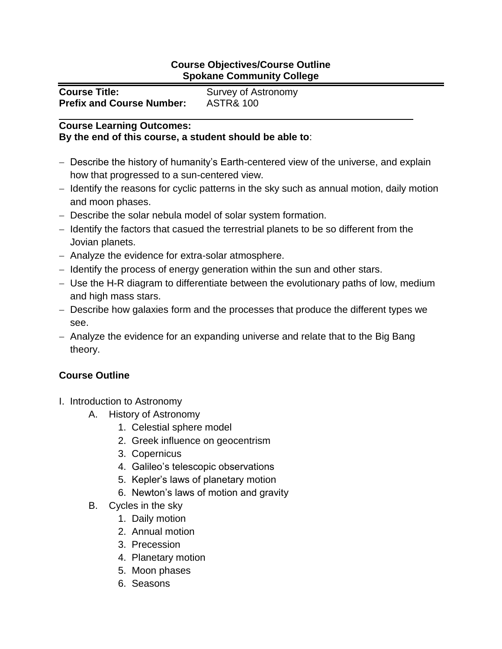## **Course Objectives/Course Outline Spokane Community College**

| <b>Course Title:</b>             | Survey of Astronomy  |
|----------------------------------|----------------------|
| <b>Prefix and Course Number:</b> | <b>ASTR&amp; 100</b> |

## **Course Learning Outcomes: By the end of this course, a student should be able to**:

- Describe the history of humanity's Earth-centered view of the universe, and explain how that progressed to a sun-centered view.
- Identify the reasons for cyclic patterns in the sky such as annual motion, daily motion and moon phases.
- Describe the solar nebula model of solar system formation.
- Identify the factors that casued the terrestrial planets to be so different from the Jovian planets.
- Analyze the evidence for extra-solar atmosphere.
- Identify the process of energy generation within the sun and other stars.
- Use the H-R diagram to differentiate between the evolutionary paths of low, medium and high mass stars.
- Describe how galaxies form and the processes that produce the different types we see.
- Analyze the evidence for an expanding universe and relate that to the Big Bang theory.

## **Course Outline**

- I. Introduction to Astronomy
	- A. History of Astronomy
		- 1. Celestial sphere model
		- 2. Greek influence on geocentrism
		- 3. Copernicus
		- 4. Galileo's telescopic observations
		- 5. Kepler's laws of planetary motion
		- 6. Newton's laws of motion and gravity
	- B. Cycles in the sky
		- 1. Daily motion
		- 2. Annual motion
		- 3. Precession
		- 4. Planetary motion
		- 5. Moon phases
		- 6. Seasons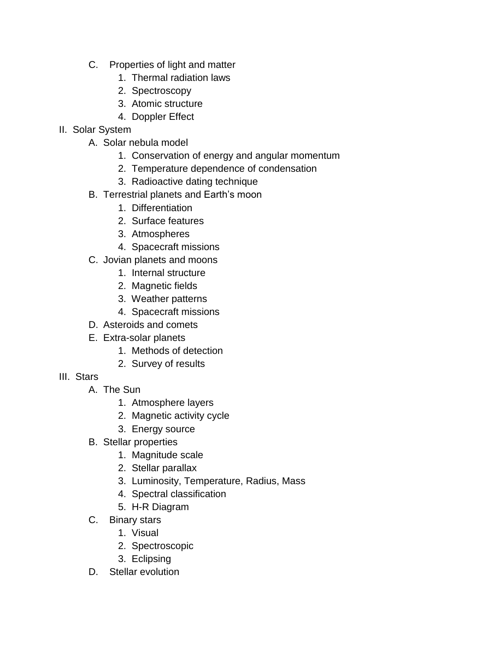- C. Properties of light and matter
	- 1. Thermal radiation laws
	- 2. Spectroscopy
	- 3. Atomic structure
	- 4. Doppler Effect
- II. Solar System
	- A. Solar nebula model
		- 1. Conservation of energy and angular momentum
		- 2. Temperature dependence of condensation
		- 3. Radioactive dating technique
	- B. Terrestrial planets and Earth's moon
		- 1. Differentiation
		- 2. Surface features
		- 3. Atmospheres
		- 4. Spacecraft missions
	- C. Jovian planets and moons
		- 1. Internal structure
		- 2. Magnetic fields
		- 3. Weather patterns
		- 4. Spacecraft missions
	- D. Asteroids and comets
	- E. Extra-solar planets
		- 1. Methods of detection
		- 2. Survey of results
- III. Stars
	- A. The Sun
		- 1. Atmosphere layers
		- 2. Magnetic activity cycle
		- 3. Energy source
	- B. Stellar properties
		- 1. Magnitude scale
		- 2. Stellar parallax
		- 3. Luminosity, Temperature, Radius, Mass
		- 4. Spectral classification
		- 5. H-R Diagram
	- C. Binary stars
		- 1. Visual
		- 2. Spectroscopic
		- 3. Eclipsing
	- D. Stellar evolution